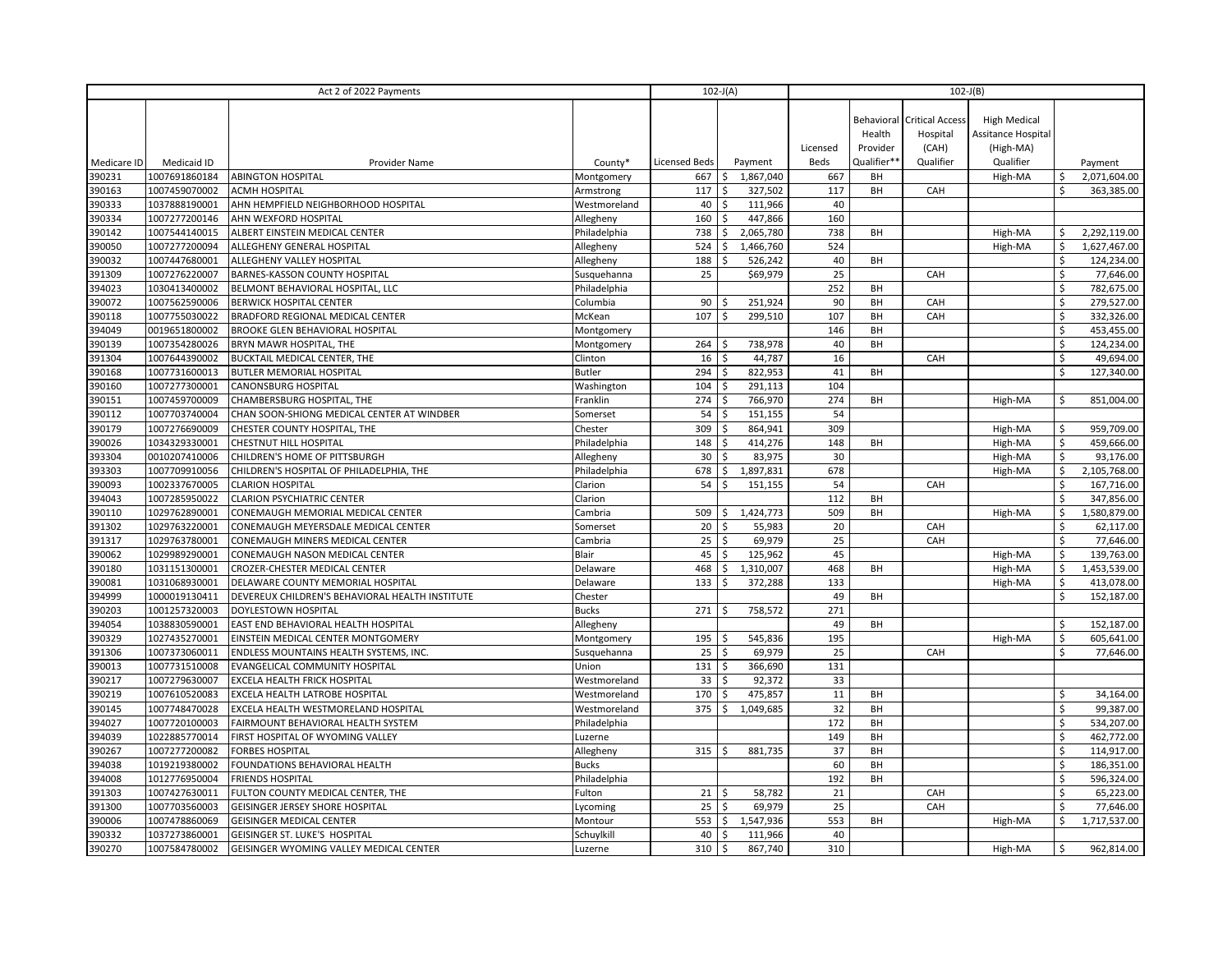| Act 2 of 2022 Payments |               |                                                 |               | $102-J(A)$<br>$102-J(B)$ |                           |           |          |             |                                   |                     |                    |              |
|------------------------|---------------|-------------------------------------------------|---------------|--------------------------|---------------------------|-----------|----------|-------------|-----------------------------------|---------------------|--------------------|--------------|
|                        |               |                                                 |               |                          |                           |           |          |             |                                   |                     |                    |              |
|                        |               |                                                 |               |                          |                           |           |          |             | <b>Behavioral Critical Access</b> | <b>High Medical</b> |                    |              |
|                        |               |                                                 |               |                          |                           |           |          | Health      | Hospital                          | Assitance Hospital  |                    |              |
|                        |               |                                                 |               |                          |                           |           | Licensed | Provider    | (CAH)                             | (High-MA)           |                    |              |
| Medicare ID            | Medicaid ID   | Provider Name                                   | County*       | <b>Licensed Beds</b>     |                           | Payment   | Beds     | Qualifier** | Qualifier                         | Qualifier           |                    | Payment      |
| 390231                 | 1007691860184 | <b>ABINGTON HOSPITAL</b>                        | Montgomery    | 667                      | \$                        | 1,867,040 | 667      | BH          |                                   | High-MA             |                    | 2,071,604.00 |
| 390163                 | 1007459070002 | <b>ACMH HOSPITAL</b>                            | Armstrong     | 117                      | \$                        | 327,502   | 117      | BH          | CAH                               |                     | $\mathsf{\hat{S}}$ | 363,385.00   |
| 390333                 | 1037888190001 | AHN HEMPFIELD NEIGHBORHOOD HOSPITAL             | Westmoreland  | 40                       | $\boldsymbol{\mathsf{S}}$ | 111,966   | 40       |             |                                   |                     |                    |              |
| 390334                 | 1007277200146 | AHN WEXFORD HOSPITAL                            | Allegheny     | 160                      | \$                        | 447,866   | 160      |             |                                   |                     |                    |              |
| 390142                 | 1007544140015 | ALBERT EINSTEIN MEDICAL CENTER                  | Philadelphia  | 738                      | $\boldsymbol{\mathsf{S}}$ | 2,065,780 | 738      | BH          |                                   | High-MA             |                    | 2,292,119.00 |
| 390050                 | 1007277200094 | ALLEGHENY GENERAL HOSPITAL                      | Allegheny     | 524                      | Ś                         | 1,466,760 | 524      |             |                                   | High-MA             | Ŝ.                 | 1,627,467.00 |
| 390032                 | 1007447680001 | ALLEGHENY VALLEY HOSPITAL                       | Allegheny     | 188                      | \$                        | 526,242   | 40       | BH          |                                   |                     | $\mathsf{\hat{S}}$ | 124,234.00   |
| 391309                 | 1007276220007 | BARNES-KASSON COUNTY HOSPITAL                   | Susquehanna   | 25                       |                           | \$69,979  | 25       |             | CAH                               |                     | \$                 | 77,646.00    |
| 394023                 | 1030413400002 | BELMONT BEHAVIORAL HOSPITAL, LLC                | Philadelphia  |                          |                           |           | 252      | BH          |                                   |                     | $\mathsf{\hat{S}}$ | 782,675.00   |
| 390072                 | 1007562590006 | <b>BERWICK HOSPITAL CENTER</b>                  | Columbia      | 90                       | Ŝ.                        | 251,924   | 90       | BH          | CAH                               |                     | \$                 | 279,527.00   |
| 390118                 | 1007755030022 | BRADFORD REGIONAL MEDICAL CENTER                | McKean        | 107                      | \$                        | 299,510   | 107      | BH          | CAH                               |                     | \$                 | 332,326.00   |
| 394049                 | 0019651800002 | BROOKE GLEN BEHAVIORAL HOSPITAL                 | Montgomery    |                          |                           |           | 146      | BH          |                                   |                     | $\zeta$            | 453,455.00   |
| 390139                 | 1007354280026 | BRYN MAWR HOSPITAL, THE                         | Montgomery    | 264                      | \$                        | 738,978   | 40       | BH          |                                   |                     | \$                 | 124,234.00   |
| 391304                 | 1007644390002 | BUCKTAIL MEDICAL CENTER, THE                    | Clinton       | 16                       | \$                        | 44,787    | 16       |             | CAH                               |                     | \$                 | 49,694.00    |
| 390168                 | 1007731600013 | <b>BUTLER MEMORIAL HOSPITAL</b>                 | <b>Butler</b> | 294                      | \$                        | 822,953   | 41       | BH          |                                   |                     | \$                 | 127,340.00   |
| 390160                 | 1007277300001 | CANONSBURG HOSPITAL                             | Washington    | 104                      | Ś                         | 291,113   | 104      |             |                                   |                     |                    |              |
| 390151                 | 1007459700009 | CHAMBERSBURG HOSPITAL, THE                      | Franklin      | 274                      | Ś                         | 766,970   | 274      | BH          |                                   | High-MA             | \$                 | 851,004.00   |
| 390112                 | 1007703740004 | CHAN SOON-SHIONG MEDICAL CENTER AT WINDBER      | Somerset      | 54                       | Ś                         | 151,155   | 54       |             |                                   |                     |                    |              |
| 390179                 | 1007276690009 | CHESTER COUNTY HOSPITAL, THE                    | Chester       | 309                      | Ś                         | 864,941   | 309      |             |                                   | High-MA             | \$                 | 959,709.00   |
| 390026                 | 1034329330001 | CHESTNUT HILL HOSPITAL                          | Philadelphia  | 148                      | \$                        | 414,276   | 148      | BH          |                                   | High-MA             | \$                 | 459,666.00   |
| 393304                 | 0010207410006 | CHILDREN'S HOME OF PITTSBURGH                   | Allegheny     | 30                       | \$                        | 83,975    | 30       |             |                                   | High-MA             | \$                 | 93,176.00    |
| 393303                 | 1007709910056 | CHILDREN'S HOSPITAL OF PHILADELPHIA, THE        | Philadelphia  | 678                      | \$                        | 1,897,831 | 678      |             |                                   | High-MA             | \$                 | 2,105,768.00 |
| 390093                 | 1002337670005 | <b>CLARION HOSPITAL</b>                         | Clarion       | 54                       | Ś                         | 151,155   | 54       |             | CAH                               |                     | $\mathsf{\hat{S}}$ | 167,716.00   |
| 394043                 | 1007285950022 | <b>CLARION PSYCHIATRIC CENTER</b>               | Clarion       |                          |                           |           | 112      | BH          |                                   |                     | $\mathsf{\hat{S}}$ | 347,856.00   |
| 390110                 | 1029762890001 | CONEMAUGH MEMORIAL MEDICAL CENTER               | Cambria       | 509                      | \$                        | 1,424,773 | 509      | BH          |                                   | High-MA             | \$                 | 1,580,879.00 |
| 391302                 | 1029763220001 | CONEMAUGH MEYERSDALE MEDICAL CENTER             | Somerset      | 20                       | Ś                         | 55,983    | 20       |             | CAH                               |                     | \$                 | 62,117.00    |
| 391317                 | 1029763780001 | CONEMAUGH MINERS MEDICAL CENTER                 | Cambria       | 25                       | Ś                         | 69,979    | 25       |             | CAH                               |                     | \$                 | 77,646.00    |
| 390062                 | 1029989290001 | CONEMAUGH NASON MEDICAL CENTER                  | Blair         | 45                       | \$                        | 125,962   | 45       |             |                                   | High-MA             | Ŝ.                 | 139,763.00   |
| 390180                 | 1031151300001 | CROZER-CHESTER MEDICAL CENTER                   | Delaware      | 468                      | \$                        | 1,310,007 | 468      | BH          |                                   | High-MA             | \$                 | 1,453,539.00 |
| 390081                 | 1031068930001 | DELAWARE COUNTY MEMORIAL HOSPITAL               | Delaware      | 133                      | \$                        | 372,288   | 133      |             |                                   | High-MA             | \$                 | 413,078.00   |
| 394999                 | 1000019130411 | DEVEREUX CHILDREN'S BEHAVIORAL HEALTH INSTITUTE | Chester       |                          |                           |           | 49       | BH          |                                   |                     | Ŝ.                 | 152,187.00   |
| 390203                 | 1001257320003 | DOYLESTOWN HOSPITAL                             | <b>Bucks</b>  | 271                      | Ŝ.                        | 758,572   | 271      |             |                                   |                     |                    |              |
| 394054                 | 1038830590001 | EAST END BEHAVIORAL HEALTH HOSPITAL             | Allegheny     |                          |                           |           | 49       | BH          |                                   |                     | \$                 | 152,187.00   |
| 390329                 | 1027435270001 | EINSTEIN MEDICAL CENTER MONTGOMERY              | Montgomery    | 195                      | \$                        | 545,836   | 195      |             |                                   | High-MA             |                    | 605,641.00   |
| 391306                 | 1007373060011 | ENDLESS MOUNTAINS HEALTH SYSTEMS, INC.          | Susquehanna   | 25                       | \$                        | 69,979    | 25       |             | CAH                               |                     | \$                 | 77,646.00    |
| 390013                 | 1007731510008 | EVANGELICAL COMMUNITY HOSPITAL                  | Union         | 131                      | \$                        | 366,690   | 131      |             |                                   |                     |                    |              |
| 390217                 | 1007279630007 | EXCELA HEALTH FRICK HOSPITAL                    | Westmoreland  | 33                       | Ŝ.                        | 92,372    | 33       |             |                                   |                     |                    |              |
| 390219                 | 1007610520083 | EXCELA HEALTH LATROBE HOSPITAL                  | Westmoreland  | 170                      | \$                        | 475,857   | 11       | BH          |                                   |                     | \$                 | 34,164.00    |
| 390145                 | 1007748470028 | EXCELA HEALTH WESTMORELAND HOSPITAL             | Westmoreland  | 375                      | \$                        | 1,049,685 | 32       | BH          |                                   |                     | Ś.                 | 99,387.00    |
| 394027                 | 1007720100003 | FAIRMOUNT BEHAVIORAL HEALTH SYSTEM              | Philadelphia  |                          |                           |           | 172      | BH          |                                   |                     | Ś                  | 534,207.00   |
| 394039                 | 1022885770014 | FIRST HOSPITAL OF WYOMING VALLEY                | Luzerne       |                          |                           |           | 149      | BH          |                                   |                     | $\mathsf{\hat{S}}$ | 462,772.00   |
| 390267                 | 1007277200082 | <b>FORBES HOSPITAL</b>                          | Allegheny     | 315                      | \$                        | 881,735   | 37       | BH          |                                   |                     | \$                 | 114,917.00   |
| 394038                 | 1019219380002 | FOUNDATIONS BEHAVIORAL HEALTH                   | <b>Bucks</b>  |                          |                           |           | 60       | BH          |                                   |                     | \$                 | 186,351.00   |
| 394008                 | 1012776950004 | <b>FRIENDS HOSPITAL</b>                         | Philadelphia  |                          |                           |           | 192      | BH          |                                   |                     | Ś                  | 596,324.00   |
| 391303                 | 1007427630011 | FULTON COUNTY MEDICAL CENTER, THE               | Fulton        | 21                       | Ś                         | 58,782    | 21       |             | CAH                               |                     | $\mathsf{\hat{S}}$ | 65,223.00    |
| 391300                 | 1007703560003 | GEISINGER JERSEY SHORE HOSPITAL                 | Lycoming      | 25                       | \$                        | 69,979    | 25       |             | CAH                               |                     | Ŝ.                 | 77,646.00    |
| 390006                 | 1007478860069 | <b>GEISINGER MEDICAL CENTER</b>                 | Montour       | 553                      | \$                        | 1,547,936 | 553      | BH          |                                   | High-MA             | \$                 | 1,717,537.00 |
| 390332                 | 1037273860001 | GEISINGER ST. LUKE'S HOSPITAL                   | Schuylkill    | 40                       | Ś                         | 111,966   | 40       |             |                                   |                     |                    |              |
| 390270                 | 1007584780002 | GEISINGER WYOMING VALLEY MEDICAL CENTER         | Luzerne       | 310                      | $\mathsf{\hat{S}}$        | 867,740   | 310      |             |                                   | High-MA             | Ŝ.                 | 962,814.00   |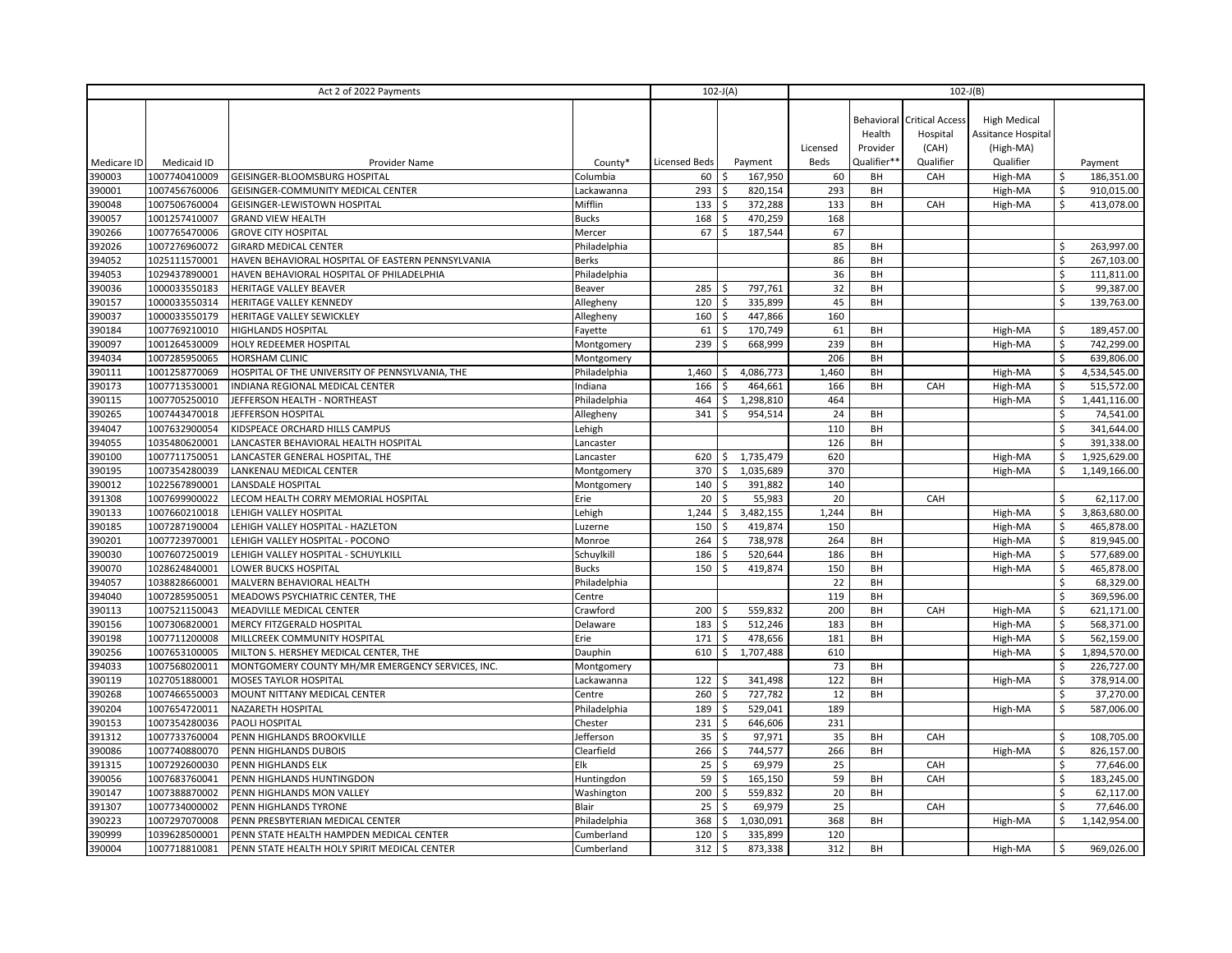| Act 2 of 2022 Payments |               |                                                   |              | $102-J(A)$           |    |           | $102-J(B)$ |             |                                               |                                           |                           |              |
|------------------------|---------------|---------------------------------------------------|--------------|----------------------|----|-----------|------------|-------------|-----------------------------------------------|-------------------------------------------|---------------------------|--------------|
|                        |               |                                                   |              |                      |    |           |            | Health      | <b>Behavioral Critical Access</b><br>Hospital | <b>High Medical</b><br>Assitance Hospital |                           |              |
|                        |               |                                                   |              |                      |    |           | Licensed   | Provider    | (CAH)                                         | (High-MA)                                 |                           |              |
| Medicare ID            | Medicaid ID   | Provider Name                                     | County*      | <b>Licensed Beds</b> |    | Payment   | Beds       | Qualifier** | Qualifier                                     | Qualifier                                 |                           | Payment      |
| 390003                 | 1007740410009 | GEISINGER-BLOOMSBURG HOSPITAL                     | Columbia     | 60                   | Ś  | 167,950   | 60         | BH          | CAH                                           | High-MA                                   |                           | 186,351.00   |
| 390001                 | 1007456760006 | GEISINGER-COMMUNITY MEDICAL CENTER                | Lackawanna   | 293                  | \$ | 820,154   | 293        | BH          |                                               | High-MA                                   | \$                        | 910,015.00   |
| 390048                 | 1007506760004 | GEISINGER-LEWISTOWN HOSPITAL                      | Mifflin      | 133                  | \$ | 372,288   | 133        | BH          | CAH                                           | High-MA                                   | Ś.                        | 413,078.00   |
| 390057                 | 1001257410007 | <b>GRAND VIEW HEALTH</b>                          | <b>Bucks</b> | 168                  | \$ | 470,259   | 168        |             |                                               |                                           |                           |              |
| 390266                 | 1007765470006 | <b>GROVE CITY HOSPITAL</b>                        | Mercer       | 67                   | \$ | 187,544   | 67         |             |                                               |                                           |                           |              |
| 392026                 | 1007276960072 | <b>GIRARD MEDICAL CENTER</b>                      | Philadelphia |                      |    |           | 85         | BH          |                                               |                                           |                           | 263,997.00   |
| 394052                 | 1025111570001 | HAVEN BEHAVIORAL HOSPITAL OF EASTERN PENNSYLVANIA | <b>Berks</b> |                      |    |           | 86         | BH          |                                               |                                           | Ś                         | 267,103.00   |
| 394053                 | 1029437890001 | HAVEN BEHAVIORAL HOSPITAL OF PHILADELPHIA         | Philadelphia |                      |    |           | 36         | BH          |                                               |                                           | $\zeta$                   | 111,811.00   |
| 390036                 | 1000033550183 | HERITAGE VALLEY BEAVER                            | Beaver       | 285                  | Ś  | 797,761   | 32         | BH          |                                               |                                           |                           | 99,387.00    |
| 390157                 | 1000033550314 | HERITAGE VALLEY KENNEDY                           | Allegheny    | 120                  | \$ | 335,899   | 45         | BH          |                                               |                                           | $\boldsymbol{\mathsf{S}}$ | 139,763.00   |
| 390037                 | 1000033550179 | <b>HERITAGE VALLEY SEWICKLEY</b>                  | Allegheny    | 160                  | Ś  | 447,866   | 160        |             |                                               |                                           |                           |              |
| 390184                 | 1007769210010 | HIGHLANDS HOSPITAL                                | Fayette      | 61                   | Ś  | 170,749   | 61         | BH          |                                               | High-MA                                   | \$                        | 189,457.00   |
| 390097                 | 1001264530009 | HOLY REDEEMER HOSPITAL                            | Montgomery   | 239                  | \$ | 668,999   | 239        | BH          |                                               | High-MA                                   | \$                        | 742,299.00   |
| 394034                 | 1007285950065 | <b>HORSHAM CLINIC</b>                             | Montgomery   |                      |    |           | 206        | BH          |                                               |                                           | \$                        | 639,806.00   |
| 390111                 | 1001258770069 | HOSPITAL OF THE UNIVERSITY OF PENNSYLVANIA, THE   | Philadelphia | 1,460                | \$ | 4,086,773 | 1,460      | BH          |                                               | High-MA                                   | Ś                         | 4,534,545.00 |
| 390173                 | 1007713530001 | INDIANA REGIONAL MEDICAL CENTER                   | Indiana      | 166                  | \$ | 464,661   | 166        | BH          | CAH                                           | High-MA                                   | $\zeta$                   | 515,572.00   |
| 390115                 | 1007705250010 | JEFFERSON HEALTH - NORTHEAST                      | Philadelphia | 464                  | Ś  | 1,298,810 | 464        |             |                                               | High-MA                                   | \$                        | 1,441,116.00 |
| 390265                 | 1007443470018 | JEFFERSON HOSPITAL                                | Allegheny    | 341                  | \$ | 954,514   | 24         | BH          |                                               |                                           | Ŝ.                        | 74,541.00    |
| 394047                 | 1007632900054 | KIDSPEACE ORCHARD HILLS CAMPUS                    | Lehigh       |                      |    |           | 110        | BH          |                                               |                                           | \$                        | 341,644.00   |
| 394055                 | 1035480620001 | LANCASTER BEHAVIORAL HEALTH HOSPITAL              | Lancaster    |                      |    |           | 126        | BH          |                                               |                                           | $\mathsf{\hat{S}}$        | 391,338.00   |
| 390100                 | 1007711750051 | LANCASTER GENERAL HOSPITAL, THE                   | Lancaster    | 620                  | \$ | 1,735,479 | 620        |             |                                               | High-MA                                   | \$                        | 1,925,629.00 |
| 390195                 | 1007354280039 | LANKENAU MEDICAL CENTER                           | Montgomery   | 370                  | \$ | 1,035,689 | 370        |             |                                               | High-MA                                   |                           | 1,149,166.00 |
| 390012                 | 1022567890001 | LANSDALE HOSPITAL                                 | Montgomery   | 140                  | \$ | 391,882   | 140        |             |                                               |                                           |                           |              |
| 391308                 | 1007699900022 | LECOM HEALTH CORRY MEMORIAL HOSPITAL              | Erie         | 20                   | \$ | 55,983    | 20         |             | CAH                                           |                                           | Ŝ                         | 62,117.00    |
| 390133                 | 1007660210018 | LEHIGH VALLEY HOSPITAL                            | Lehigh       | 1,244                | \$ | 3,482,155 | 1,244      | BH          |                                               | High-MA                                   | \$                        | 3,863,680.00 |
| 390185                 | 1007287190004 | LEHIGH VALLEY HOSPITAL - HAZLETON                 | Luzerne      | 150                  | Ś  | 419,874   | 150        |             |                                               | High-MA                                   | \$                        | 465,878.00   |
| 390201                 | 1007723970001 | LEHIGH VALLEY HOSPITAL - POCONO                   | Monroe       | 264                  | \$ | 738,978   | 264        | BH          |                                               | High-MA                                   | \$                        | 819,945.00   |
| 390030                 | 1007607250019 | LEHIGH VALLEY HOSPITAL - SCHUYLKILL               | Schuylkill   | 186                  | \$ | 520,644   | 186        | BH          |                                               | High-MA                                   | \$                        | 577,689.00   |
| 390070                 | 1028624840001 | LOWER BUCKS HOSPITAL                              | <b>Bucks</b> | 150                  | Ŝ. | 419,874   | 150        | BH          |                                               | High-MA                                   | \$                        | 465,878.00   |
| 394057                 | 1038828660001 | MALVERN BEHAVIORAL HEALTH                         | Philadelphia |                      |    |           | 22         | BH          |                                               |                                           | \$                        | 68,329.00    |
| 394040                 | 1007285950051 | MEADOWS PSYCHIATRIC CENTER, THE                   | Centre       |                      |    |           | 119        | BH          |                                               |                                           | \$                        | 369,596.00   |
| 390113                 | 1007521150043 | MEADVILLE MEDICAL CENTER                          | Crawford     | 200                  | Ś  | 559,832   | 200        | BH          | CAH                                           | High-MA                                   | \$                        | 621,171.00   |
| 390156                 | 1007306820001 | MERCY FITZGERALD HOSPITAL                         | Delaware     | 183                  | Ŝ. | 512,246   | 183        | BH          |                                               | High-MA                                   | \$                        | 568,371.00   |
| 390198                 | 1007711200008 | MILLCREEK COMMUNITY HOSPITAL                      | Erie         | 171                  | \$ | 478,656   | 181        | BH          |                                               | High-MA                                   | \$                        | 562,159.00   |
| 390256                 | 1007653100005 | MILTON S. HERSHEY MEDICAL CENTER, THE             | Dauphin      | 610                  | \$ | 1,707,488 | 610        |             |                                               | High-MA                                   | \$                        | 1,894,570.00 |
| 394033                 | 1007568020011 | MONTGOMERY COUNTY MH/MR EMERGENCY SERVICES, INC.  | Montgomery   |                      |    |           | 73         | BH          |                                               |                                           | Ś                         | 226,727.00   |
| 390119                 | 1027051880001 | MOSES TAYLOR HOSPITAL                             | Lackawanna   | 122                  | Ś  | 341,498   | 122        | BH          |                                               | High-MA                                   | $\mathsf{\hat{S}}$        | 378,914.00   |
| 390268                 | 1007466550003 | MOUNT NITTANY MEDICAL CENTER                      | Centre       | 260                  | \$ | 727,782   | 12         | BH          |                                               |                                           | \$                        | 37,270.00    |
| 390204                 | 1007654720011 | NAZARETH HOSPITAL                                 | Philadelphia | 189                  | \$ | 529,041   | 189        |             |                                               | High-MA                                   | \$                        | 587,006.00   |
| 390153                 | 1007354280036 | PAOLI HOSPITAL                                    | Chester      | 231                  | \$ | 646,606   | 231        |             |                                               |                                           |                           |              |
| 391312                 | 1007733760004 | PENN HIGHLANDS BROOKVILLE                         | Jefferson    | 35                   | \$ | 97,971    | 35         | BH          | CAH                                           |                                           | \$                        | 108,705.00   |
| 390086                 | 1007740880070 | PENN HIGHLANDS DUBOIS                             | Clearfield   | 266                  | \$ | 744,577   | 266        | BH          |                                               | High-MA                                   | \$                        | 826,157.00   |
| 391315                 | 1007292600030 | PENN HIGHLANDS ELK                                | Elk          | 25                   | Ś  | 69,979    | 25         |             | CAH                                           |                                           | Ś                         | 77,646.00    |
| 390056                 | 1007683760041 | PENN HIGHLANDS HUNTINGDON                         | Huntingdon   | 59                   | \$ | 165,150   | 59         | BH          | CAH                                           |                                           | $\mathsf{\hat{S}}$        | 183,245.00   |
| 390147                 | 1007388870002 | PENN HIGHLANDS MON VALLEY                         | Washington   | 200                  | Ś  | 559,832   | 20         | BH          |                                               |                                           | Ŝ.                        | 62,117.00    |
| 391307                 | 1007734000002 | PENN HIGHLANDS TYRONE                             | Blair        | 25                   | \$ | 69,979    | 25         |             | CAH                                           |                                           | \$                        | 77,646.00    |
| 390223                 | 1007297070008 | PENN PRESBYTERIAN MEDICAL CENTER                  | Philadelphia | 368                  | Ś. | 1,030,091 | 368        | BH          |                                               | High-MA                                   | Ś.                        | 1,142,954.00 |
| 390999                 | 1039628500001 | PENN STATE HEALTH HAMPDEN MEDICAL CENTER          | Cumberland   | 120                  | Ś  | 335,899   | 120        |             |                                               |                                           |                           |              |
| 390004                 | 1007718810081 | PENN STATE HEALTH HOLY SPIRIT MEDICAL CENTER      | Cumberland   | 312                  | \$ | 873,338   | 312        | BH          |                                               | High-MA                                   | \$                        | 969,026.00   |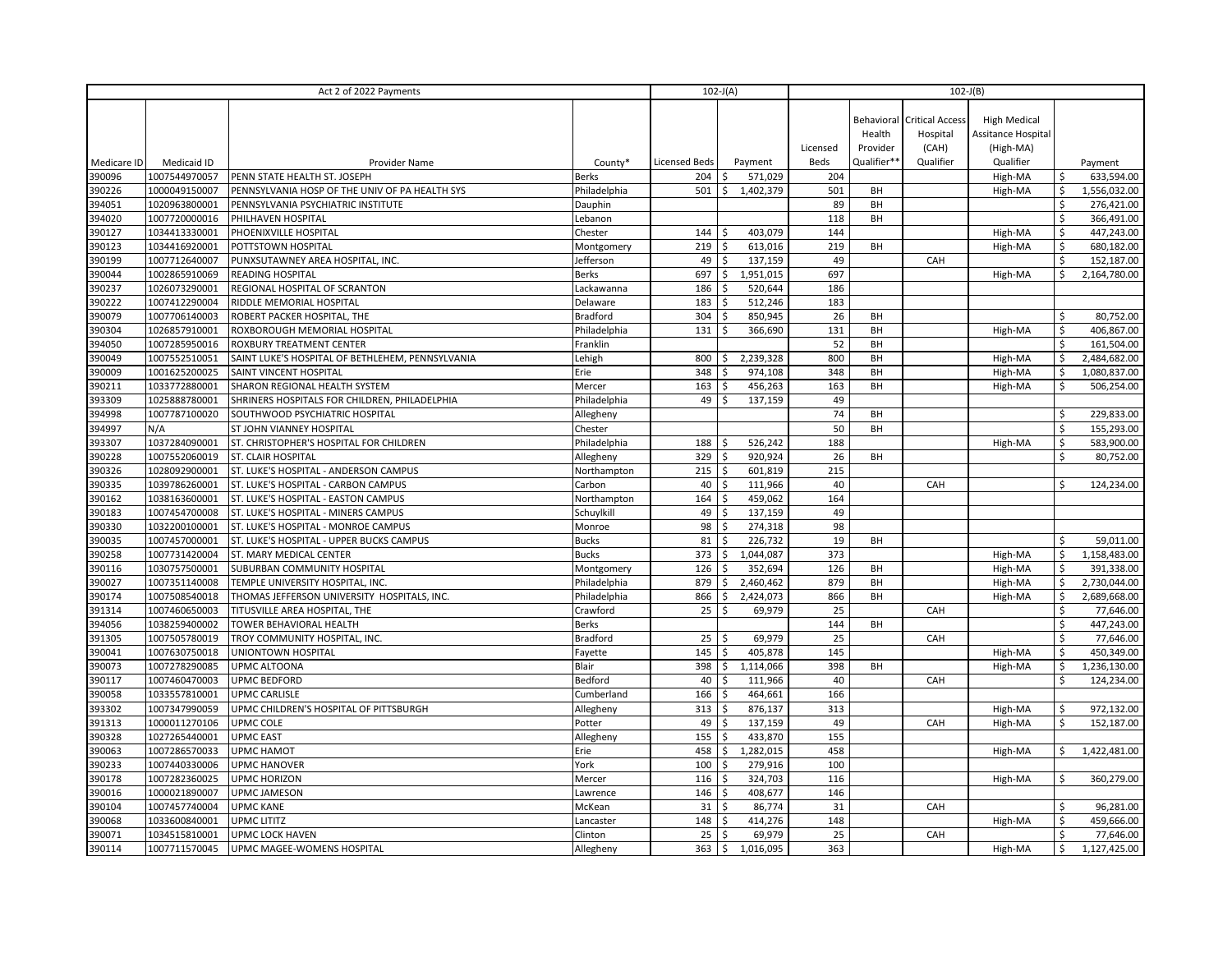| Act 2 of 2022 Payments |               |                                                  |                 | $102-J(A)$<br>$102-J(B)$ |    |           |          |             |                                   |                     |                    |              |
|------------------------|---------------|--------------------------------------------------|-----------------|--------------------------|----|-----------|----------|-------------|-----------------------------------|---------------------|--------------------|--------------|
|                        |               |                                                  |                 |                          |    |           |          |             |                                   |                     |                    |              |
|                        |               |                                                  |                 |                          |    |           |          |             | <b>Behavioral Critical Access</b> | <b>High Medical</b> |                    |              |
|                        |               |                                                  |                 |                          |    |           |          | Health      | Hospital                          | Assitance Hospital  |                    |              |
|                        |               |                                                  |                 |                          |    |           | Licensed | Provider    | (CAH)                             | (High-MA)           |                    |              |
| Medicare ID            | Medicaid ID   | Provider Name                                    | County*         | Licensed Beds            |    | Payment   | Beds     | Qualifier** | Qualifier                         | Qualifier           |                    | Payment      |
| 390096                 | 1007544970057 | PENN STATE HEALTH ST. JOSEPH                     | <b>Berks</b>    | 204                      | Ś  | 571,029   | 204      |             |                                   | High-MA             |                    | 633,594.00   |
| 390226                 | 1000049150007 | PENNSYLVANIA HOSP OF THE UNIV OF PA HEALTH SYS   | Philadelphia    | 501                      | Ś. | 1,402,379 | 501      | BH          |                                   | High-MA             |                    | 1,556,032.00 |
| 394051                 | 1020963800001 | PENNSYLVANIA PSYCHIATRIC INSTITUTE               | Dauphin         |                          |    |           | 89       | BH          |                                   |                     | \$                 | 276,421.00   |
| 394020                 | 1007720000016 | PHILHAVEN HOSPITAL                               | Lebanon         |                          |    |           | 118      | BH          |                                   |                     | \$                 | 366,491.00   |
| 390127                 | 1034413330001 | PHOENIXVILLE HOSPITAL                            | Chester         | 144                      | Ś  | 403,079   | 144      |             |                                   | High-MA             | $\mathsf{\hat{S}}$ | 447,243.00   |
| 390123                 | 1034416920001 | POTTSTOWN HOSPITAL                               | Montgomery      | 219                      | \$ | 613,016   | 219      | BH          |                                   | High-MA             | \$                 | 680,182.00   |
| 390199                 | 1007712640007 | PUNXSUTAWNEY AREA HOSPITAL, INC.                 | Jefferson       | 49                       | \$ | 137,159   | 49       |             | CAH                               |                     | \$                 | 152,187.00   |
| 390044                 | 1002865910069 | READING HOSPITAL                                 | <b>Berks</b>    | 697                      | Ś  | 1,951,015 | 697      |             |                                   | High-MA             | Ŝ.                 | 2,164,780.00 |
| 390237                 | 1026073290001 | REGIONAL HOSPITAL OF SCRANTON                    | Lackawanna      | 186                      | Ś  | 520,644   | 186      |             |                                   |                     |                    |              |
| 390222                 | 1007412290004 | RIDDLE MEMORIAL HOSPITAL                         | Delaware        | 183                      | Ŝ. | 512,246   | 183      |             |                                   |                     |                    |              |
| 390079                 | 1007706140003 | ROBERT PACKER HOSPITAL, THE                      | <b>Bradford</b> | 304                      | \$ | 850,945   | 26       | BH          |                                   |                     | \$                 | 80,752.00    |
| 390304                 | 1026857910001 | ROXBOROUGH MEMORIAL HOSPITAL                     | Philadelphia    | 131                      | \$ | 366,690   | 131      | BH          |                                   | High-MA             | \$                 | 406,867.00   |
| 394050                 | 1007285950016 | ROXBURY TREATMENT CENTER                         | Franklin        |                          |    |           | 52       | BH          |                                   |                     | \$                 | 161,504.00   |
| 390049                 | 1007552510051 | SAINT LUKE'S HOSPITAL OF BETHLEHEM, PENNSYLVANIA | Lehigh          | 800                      | \$ | 2,239,328 | 800      | BH          |                                   | High-MA             | \$                 | 2,484,682.00 |
| 390009                 | 1001625200025 | SAINT VINCENT HOSPITAL                           | Erie            | 348                      | \$ | 974,108   | 348      | BH          |                                   | High-MA             | \$                 | 1,080,837.00 |
| 390211                 | 1033772880001 | SHARON REGIONAL HEALTH SYSTEM                    | Mercer          | 163                      | Ŝ. | 456,263   | 163      | BH          |                                   | High-MA             | \$                 | 506,254.00   |
| 393309                 | 1025888780001 | SHRINERS HOSPITALS FOR CHILDREN, PHILADELPHIA    | Philadelphia    | 49                       | \$ | 137,159   | 49       |             |                                   |                     |                    |              |
| 394998                 | 1007787100020 | SOUTHWOOD PSYCHIATRIC HOSPITAL                   | Allegheny       |                          |    |           | 74       | BH          |                                   |                     | \$                 | 229,833.00   |
| 394997                 | N/A           | ST JOHN VIANNEY HOSPITAL                         | Chester         |                          |    |           | 50       | BH          |                                   |                     | \$                 | 155,293.00   |
| 393307                 | 1037284090001 | ST. CHRISTOPHER'S HOSPITAL FOR CHILDREN          | Philadelphia    | 188                      |    | 526,242   | 188      |             |                                   | High-MA             |                    | 583,900.00   |
| 390228                 | 1007552060019 | <b>ST. CLAIR HOSPITAL</b>                        | Allegheny       | 329                      | \$ | 920,924   | 26       | BH          |                                   |                     | \$                 | 80,752.00    |
| 390326                 | 1028092900001 | ST. LUKE'S HOSPITAL - ANDERSON CAMPUS            | Northampton     | 215                      | \$ | 601,819   | 215      |             |                                   |                     |                    |              |
| 390335                 | 1039786260001 | ST. LUKE'S HOSPITAL - CARBON CAMPUS              | Carbon          | 40                       | \$ | 111,966   | 40       |             | CAH                               |                     | \$                 | 124,234.00   |
| 390162                 | 1038163600001 | ST. LUKE'S HOSPITAL - EASTON CAMPUS              | Northampton     | 164                      | \$ | 459,062   | 164      |             |                                   |                     |                    |              |
| 390183                 | 1007454700008 | ST. LUKE'S HOSPITAL - MINERS CAMPUS              | Schuylkill      | 49                       | \$ | 137,159   | 49       |             |                                   |                     |                    |              |
| 390330                 | 1032200100001 | ST. LUKE'S HOSPITAL - MONROE CAMPUS              | Monroe          | 98                       | Ś  | 274,318   | 98       |             |                                   |                     |                    |              |
| 390035                 | 1007457000001 | ST. LUKE'S HOSPITAL - UPPER BUCKS CAMPUS         | <b>Bucks</b>    | 81                       | \$ | 226,732   | 19       | BH          |                                   |                     | \$                 | 59,011.00    |
| 390258                 | 1007731420004 | ST. MARY MEDICAL CENTER                          | <b>Bucks</b>    | 373                      | Ś  | 1,044,087 | 373      |             |                                   | High-MA             | \$                 | 1,158,483.00 |
| 390116                 | 1030757500001 | SUBURBAN COMMUNITY HOSPITAL                      | Montgomery      | 126                      | Ś  | 352,694   | 126      | BH          |                                   | High-MA             | Ś                  | 391,338.00   |
| 390027                 | 1007351140008 | TEMPLE UNIVERSITY HOSPITAL, INC.                 | Philadelphia    | 879                      | Ŝ. | 2,460,462 | 879      | BH          |                                   | High-MA             | $\zeta$            | 2,730,044.00 |
| 390174                 | 1007508540018 | THOMAS JEFFERSON UNIVERSITY HOSPITALS, INC.      | Philadelphia    | 866                      | \$ | 2,424,073 | 866      | BH          |                                   | High-MA             | \$                 | 2,689,668.00 |
| 391314                 | 1007460650003 | TITUSVILLE AREA HOSPITAL, THE                    | Crawford        | 25                       | Ŝ. | 69,979    | 25       |             | CAH                               |                     | \$                 | 77,646.00    |
| 394056                 | 1038259400002 | <b>TOWER BEHAVIORAL HEALTH</b>                   | <b>Berks</b>    |                          |    |           | 144      | BH          |                                   |                     | Ś                  | 447,243.00   |
| 391305                 | 1007505780019 | TROY COMMUNITY HOSPITAL, INC.                    | <b>Bradford</b> | 25                       | Ś  | 69,979    | 25       |             | CAH                               |                     |                    | 77,646.00    |
| 390041                 | 1007630750018 | UNIONTOWN HOSPITAL                               | Fayette         | 145                      | \$ | 405,878   | 145      |             |                                   | High-MA             | \$                 | 450,349.00   |
| 390073                 | 1007278290085 | UPMC ALTOONA                                     | <b>Blair</b>    | 398                      | \$ | 1,114,066 | 398      | BH          |                                   | High-MA             | \$                 | 1,236,130.00 |
| 390117                 | 1007460470003 | <b>UPMC BEDFORD</b>                              | Bedford         | 40                       | Ś  | 111,966   | 40       |             | CAH                               |                     | \$                 | 124,234.00   |
| 390058                 | 1033557810001 | <b>UPMC CARLISLE</b>                             | Cumberland      | 166                      | Ś  | 464,661   | 166      |             |                                   |                     |                    |              |
| 393302                 | 1007347990059 | UPMC CHILDREN'S HOSPITAL OF PITTSBURGH           | Allegheny       | 313                      | \$ | 876,137   | 313      |             |                                   | High-MA             | \$                 | 972,132.00   |
| 391313                 | 1000011270106 | UPMC COLE                                        | Potter          | 49                       | \$ | 137,159   | 49       |             | CAH                               | High-MA             | \$                 | 152,187.00   |
| 390328                 | 1027265440001 | UPMC EAST                                        | Allegheny       | 155                      | Ś  | 433,870   | 155      |             |                                   |                     |                    |              |
| 390063                 | 1007286570033 | <b>UPMC HAMOT</b>                                | Erie            | 458                      | \$ | 1,282,015 | 458      |             |                                   | High-MA             | Ŝ.                 | 1,422,481.00 |
| 390233                 | 1007440330006 | <b>UPMC HANOVER</b>                              | York            | 100                      | Ś  | 279,916   | 100      |             |                                   |                     |                    |              |
| 390178                 | 1007282360025 | <b>UPMC HORIZON</b>                              | Mercer          | 116                      | Ś  | 324,703   | 116      |             |                                   | High-MA             | \$                 | 360,279.00   |
| 390016                 | 1000021890007 | UPMC JAMESON                                     | Lawrence        | 146                      | \$ | 408,677   | 146      |             |                                   |                     |                    |              |
| 390104                 | 1007457740004 | <b>UPMC KANE</b>                                 | McKean          | 31                       | \$ | 86,774    | 31       |             | CAH                               |                     | Ŝ.                 | 96,281.00    |
| 390068                 | 1033600840001 | <b>UPMC LITITZ</b>                               | Lancaster       | 148                      | \$ | 414,276   | 148      |             |                                   | High-MA             | \$                 | 459,666.00   |
| 390071                 | 1034515810001 | <b>UPMC LOCK HAVEN</b>                           | Clinton         | 25                       | \$ | 69,979    | 25       |             | CAH                               |                     | \$                 | 77,646.00    |
| 390114                 | 1007711570045 | UPMC MAGEE-WOMENS HOSPITAL                       | Allegheny       | 363 <sup>5</sup>         |    | 1,016,095 | 363      |             |                                   | High-MA             | \$                 | 1,127,425.00 |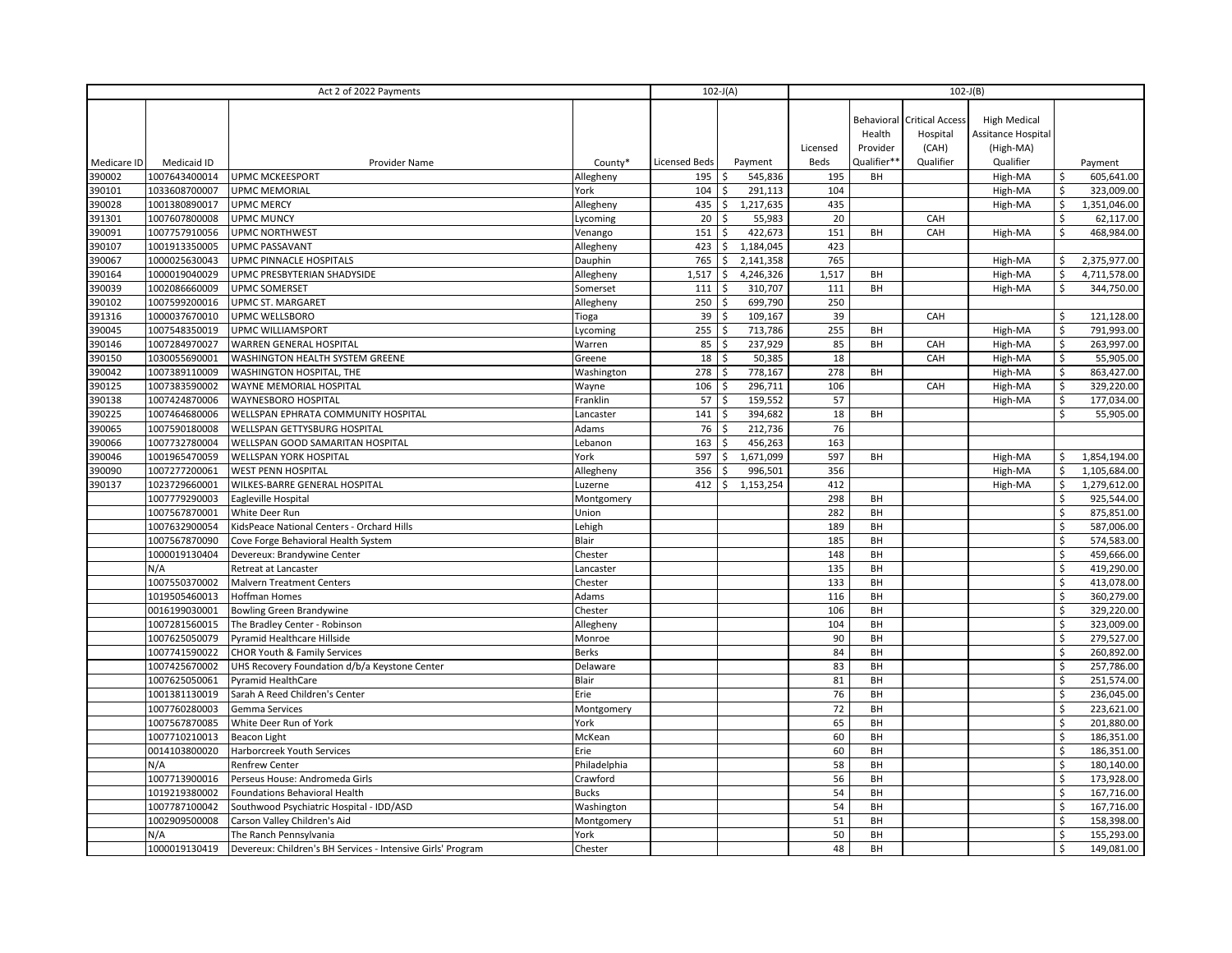|             | Act 2 of 2022 Payments         |                                                                                   |                      |                      | $102-J(A)$      | $102-J(B)$ |             |                                   |                     |                    |                          |
|-------------|--------------------------------|-----------------------------------------------------------------------------------|----------------------|----------------------|-----------------|------------|-------------|-----------------------------------|---------------------|--------------------|--------------------------|
|             |                                |                                                                                   |                      |                      |                 |            |             |                                   |                     |                    |                          |
|             |                                |                                                                                   |                      |                      |                 |            |             | <b>Behavioral Critical Access</b> | <b>High Medical</b> |                    |                          |
|             |                                |                                                                                   |                      |                      |                 |            | Health      | Hospital                          | Assitance Hospital  |                    |                          |
|             |                                |                                                                                   |                      |                      |                 | Licensed   | Provider    | (CAH)                             | (High-MA)           |                    |                          |
| Medicare ID | Medicaid ID                    | Provider Name                                                                     | County*              | <b>Licensed Beds</b> | Payment         | Beds       | Qualifier** | Qualifier                         | Qualifier           |                    | Payment                  |
| 390002      | 1007643400014                  | <b>UPMC MCKEESPORT</b>                                                            | Allegheny            | 195                  | Ś<br>545,836    | 195        | BH          |                                   | High-MA             |                    | 605,641.00               |
| 390101      | 1033608700007                  | <b>UPMC MEMORIAL</b>                                                              | York                 | 104                  | \$<br>291,113   | 104        |             |                                   | High-MA             | Ś                  | 323,009.00               |
| 390028      | 1001380890017                  | <b>UPMC MERCY</b>                                                                 | Allegheny            | 435                  | \$<br>1,217,635 | 435        |             |                                   | High-MA             | \$                 | 1,351,046.00             |
| 391301      | 1007607800008                  | <b>UPMC MUNCY</b>                                                                 | Lycoming             | 20                   | \$<br>55,983    | 20         |             | CAH                               |                     | \$                 | 62,117.00                |
| 390091      | 1007757910056                  | <b>UPMC NORTHWEST</b>                                                             | Venango              | 151                  | \$<br>422,673   | 151        | BH          | CAH                               | High-MA             | \$                 | 468,984.00               |
| 390107      | 1001913350005                  | <b>UPMC PASSAVANT</b>                                                             | Allegheny            | 423                  | 1,184,045<br>\$ | 423        |             |                                   |                     |                    |                          |
| 390067      | 1000025630043                  | UPMC PINNACLE HOSPITALS                                                           | Dauphin              | 765                  | \$<br>2,141,358 | 765        |             |                                   | High-MA             | \$                 | 2,375,977.00             |
| 390164      | 1000019040029                  | UPMC PRESBYTERIAN SHADYSIDE                                                       | Allegheny            | 1,517                | \$<br>4,246,326 | 1,517      | BH          |                                   | High-MA             | \$                 | 4,711,578.00             |
| 390039      | 1002086660009                  | UPMC SOMERSET                                                                     | Somerset             | 111                  | \$<br>310,707   | 111        | BH          |                                   | High-MA             | \$                 | 344,750.00               |
| 390102      | 1007599200016                  | UPMC ST. MARGARET                                                                 | Allegheny            | 250                  | \$<br>699,790   | 250        |             |                                   |                     |                    |                          |
| 391316      | 1000037670010                  | <b>UPMC WELLSBORO</b>                                                             | Tioga                | 39                   | \$<br>109,167   | 39         |             | CAH                               |                     | Ś                  | 121,128.00               |
| 390045      | 1007548350019                  | UPMC WILLIAMSPORT                                                                 | ycoming              | 255                  | \$<br>713,786   | 255        | BH          |                                   | High-MA             | \$                 | 791,993.00               |
| 390146      | 1007284970027                  | WARREN GENERAL HOSPITAL                                                           | Warren               | 85                   | 237,929<br>\$   | 85         | BH          | CAH                               | High-MA             | \$                 | 263,997.00               |
| 390150      | 1030055690001                  | WASHINGTON HEALTH SYSTEM GREENE                                                   | Greene               | 18                   | \$<br>50,385    | 18         |             | CAH                               | High-MA             | \$                 | 55,905.00                |
| 390042      | 1007389110009                  | WASHINGTON HOSPITAL, THE                                                          | Washington           | 278                  | 778,167<br>\$   | 278        | BH          |                                   | High-MA             | \$                 | 863,427.00               |
| 390125      | 1007383590002                  | WAYNE MEMORIAL HOSPITAL                                                           | Wayne                | 106                  | \$<br>296,711   | 106        |             | CAH                               | High-MA             | \$                 | 329,220.00               |
| 390138      | 1007424870006                  | WAYNESBORO HOSPITAL                                                               | Franklin             | 57                   | 159,552<br>\$   | 57         |             |                                   | High-MA             | \$                 | 177,034.00               |
| 390225      | 1007464680006                  | WELLSPAN EPHRATA COMMUNITY HOSPITAL                                               | Lancaster            | 141                  | \$<br>394,682   | 18         | BH          |                                   |                     | \$                 | 55,905.00                |
| 390065      | 1007590180008                  | WELLSPAN GETTYSBURG HOSPITAL                                                      | Adams                | 76                   | \$<br>212,736   | 76         |             |                                   |                     |                    |                          |
| 390066      | 1007732780004                  | WELLSPAN GOOD SAMARITAN HOSPITAL                                                  | Lebanon              | 163                  | \$<br>456,263   | 163        |             |                                   |                     |                    |                          |
| 390046      | 1001965470059                  | <b>WELLSPAN YORK HOSPITAL</b>                                                     | York                 | 597                  | \$<br>1,671,099 | 597        | BH          |                                   | High-MA             | Ŝ.                 | 1,854,194.00             |
| 390090      | 1007277200061                  | <b>WEST PENN HOSPITAL</b>                                                         | Allegheny            | 356                  | 996,501<br>Ś    | 356        |             |                                   | High-MA             | Ś                  | 1,105,684.00             |
| 390137      | 1023729660001                  | WILKES-BARRE GENERAL HOSPITAL                                                     | uzerne.              | 412                  | \$<br>1,153,254 | 412        | BH          |                                   | High-MA             | \$                 | 1,279,612.00             |
|             | 1007779290003                  | Eagleville Hospital                                                               | Montgomery           |                      |                 | 298<br>282 |             |                                   |                     | \$                 | 925,544.00<br>875,851.00 |
|             | 1007567870001                  | White Deer Run                                                                    | Union                |                      |                 |            | BH<br>BH    |                                   |                     | \$                 |                          |
|             | 1007632900054<br>1007567870090 | KidsPeace National Centers - Orchard Hills<br>Cove Forge Behavioral Health System | Lehigh<br>Blair      |                      |                 | 189<br>185 | BH          |                                   |                     | \$                 | 587,006.00<br>574,583.00 |
|             | 1000019130404                  | Devereux: Brandywine Center                                                       |                      |                      |                 | 148        | BH          |                                   |                     | \$                 | 459,666.00               |
|             | N/A                            | Retreat at Lancaster                                                              | Chester              |                      |                 | 135        | BH          |                                   |                     | Ś                  | 419,290.00               |
|             | 1007550370002                  | <b>Malvern Treatment Centers</b>                                                  | Lancaster<br>Chester |                      |                 | 133        | BH          |                                   |                     | \$                 | 413,078.00               |
|             | 1019505460013                  | <b>Hoffman Homes</b>                                                              | Adams                |                      |                 | 116        | BH          |                                   |                     | \$                 | 360,279.00               |
|             | 0016199030001                  | <b>Bowling Green Brandywine</b>                                                   | Chester              |                      |                 | 106        | BH          |                                   |                     | Ś                  | 329,220.00               |
|             | 1007281560015                  | The Bradley Center - Robinson                                                     | Allegheny            |                      |                 | 104        | BH          |                                   |                     | \$                 | 323,009.00               |
|             | 1007625050079                  | Pyramid Healthcare Hillside                                                       | Monroe               |                      |                 | 90         | BH          |                                   |                     | \$                 | 279,527.00               |
|             | 1007741590022                  | <b>CHOR Youth &amp; Family Services</b>                                           | <b>Berks</b>         |                      |                 | 84         | BH          |                                   |                     | \$                 | 260,892.00               |
|             | 1007425670002                  | UHS Recovery Foundation d/b/a Keystone Center                                     | Delaware             |                      |                 | 83         | BH          |                                   |                     | Ś                  | 257,786.00               |
|             | 1007625050061                  | Pyramid HealthCare                                                                | Blair                |                      |                 | 81         | BH          |                                   |                     | $\mathsf{\hat{S}}$ | 251,574.00               |
|             | 1001381130019                  | Sarah A Reed Children's Center                                                    | Erie                 |                      |                 | 76         | BH          |                                   |                     | \$                 | 236,045.00               |
|             | 1007760280003                  | Gemma Services                                                                    | Montgomery           |                      |                 | 72         | BH          |                                   |                     | \$                 | 223,621.00               |
|             | 1007567870085                  | White Deer Run of York                                                            | York                 |                      |                 | 65         | BH          |                                   |                     | \$                 | 201,880.00               |
|             | 1007710210013                  | Beacon Light                                                                      | McKean               |                      |                 | 60         | BH          |                                   |                     | \$                 | 186,351.00               |
|             | 0014103800020                  | Harborcreek Youth Services                                                        | Erie                 |                      |                 | 60         | BH          |                                   |                     | \$                 | 186,351.00               |
|             | N/A                            | <b>Renfrew Center</b>                                                             | Philadelphia         |                      |                 | 58         | BH          |                                   |                     | Ś                  | 180,140.00               |
|             | 1007713900016                  | Perseus House: Andromeda Girls                                                    | Crawford             |                      |                 | 56         | BH          |                                   |                     | $\mathsf{\hat{S}}$ | 173,928.00               |
|             | 1019219380002                  | Foundations Behavioral Health                                                     | <b>Bucks</b>         |                      |                 | 54         | BH          |                                   |                     | \$                 | 167,716.00               |
|             | 1007787100042                  | Southwood Psychiatric Hospital - IDD/ASD                                          | Washington           |                      |                 | 54         | BH          |                                   |                     | \$                 | 167,716.00               |
|             | 1002909500008                  | Carson Valley Children's Aid                                                      | Montgomery           |                      |                 | 51         | BH          |                                   |                     | \$                 | 158,398.00               |
|             | N/A                            | The Ranch Pennsylvania                                                            | York                 |                      |                 | 50         | BH          |                                   |                     | $\zeta$            | 155,293.00               |
|             | 1000019130419                  | Devereux: Children's BH Services - Intensive Girls' Program                       | Chester              |                      |                 | 48         | BH          |                                   |                     | \$                 | 149,081.00               |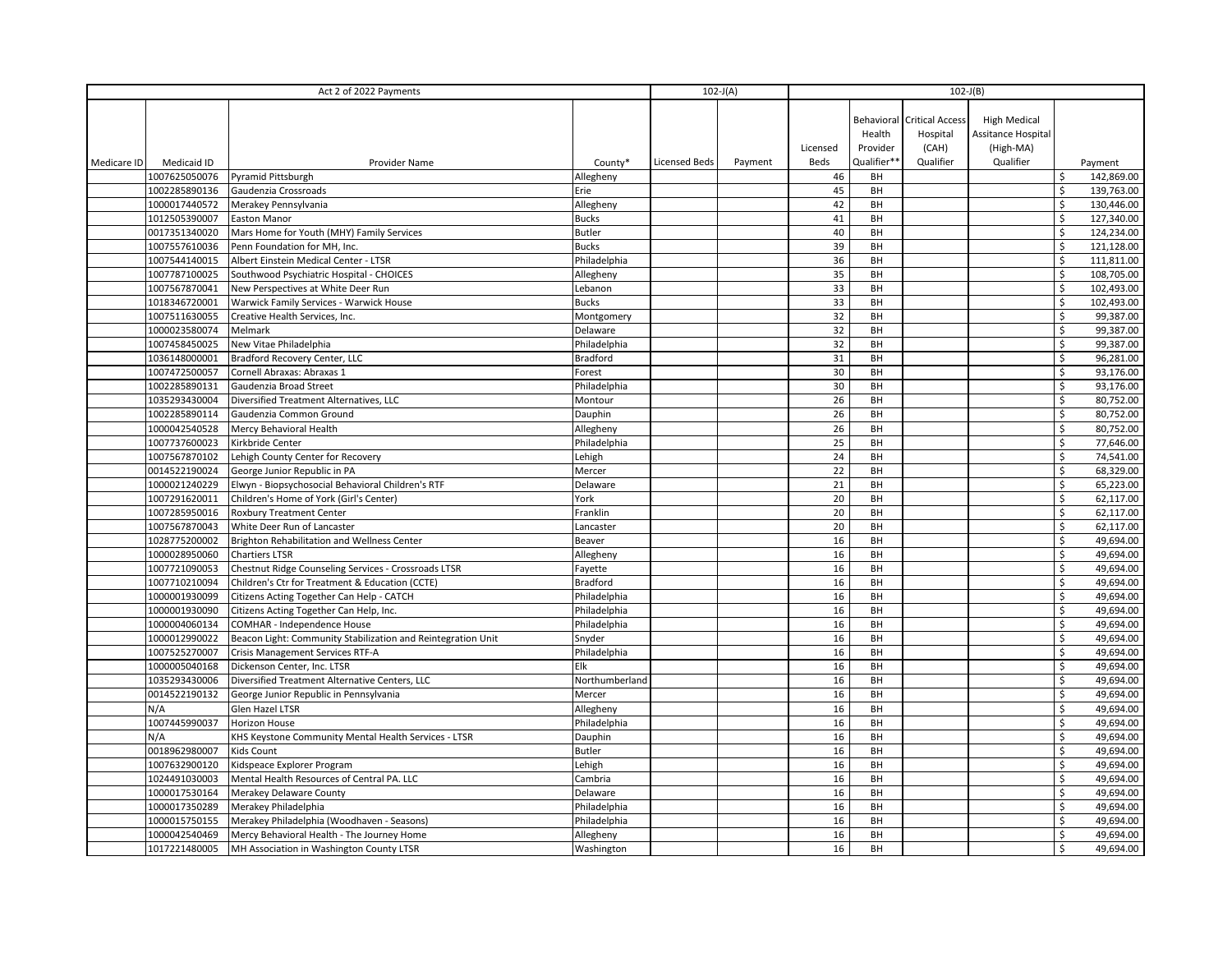| Act 2 of 2022 Payments |                                |                                                                                              |                              |                      | $102-J(A)$ | $102-J(B)$ |             |                                   |                           |                           |                        |
|------------------------|--------------------------------|----------------------------------------------------------------------------------------------|------------------------------|----------------------|------------|------------|-------------|-----------------------------------|---------------------------|---------------------------|------------------------|
|                        |                                |                                                                                              |                              |                      |            |            |             |                                   |                           |                           |                        |
|                        |                                |                                                                                              |                              |                      |            |            |             | <b>Behavioral Critical Access</b> | <b>High Medical</b>       |                           |                        |
|                        |                                |                                                                                              |                              |                      |            |            | Health      | Hospital                          | <b>Assitance Hospital</b> |                           |                        |
|                        |                                |                                                                                              |                              |                      |            | Licensed   | Provider    | (CAH)                             | (High-MA)                 |                           |                        |
| Medicare ID            | Medicaid ID                    | Provider Name                                                                                | County*                      | <b>Licensed Beds</b> | Payment    | Beds       | Qualifier** | Qualifier                         | Qualifier                 |                           | Payment                |
|                        | 1007625050076                  | Pyramid Pittsburgh                                                                           | Allegheny                    |                      |            | 46         | BH          |                                   |                           |                           | 142,869.00             |
|                        | 1002285890136                  | Gaudenzia Crossroads                                                                         | Erie                         |                      |            | 45         | BH          |                                   |                           | $\boldsymbol{\mathsf{S}}$ | 139,763.00             |
|                        | 1000017440572                  | Merakey Pennsylvania                                                                         | Allegheny                    |                      |            | 42         | BH          |                                   |                           | Ś.                        | 130,446.00             |
|                        | 1012505390007                  | Easton Manor                                                                                 | <b>Bucks</b>                 |                      |            | 41         | BH          |                                   |                           | \$                        | 127,340.00             |
|                        | 0017351340020                  | Mars Home for Youth (MHY) Family Services                                                    | <b>Butler</b>                |                      |            | 40         | BH          |                                   |                           | \$                        | 124,234.00             |
|                        | 1007557610036                  | Penn Foundation for MH, Inc.                                                                 | <b>Bucks</b>                 |                      |            | 39         | BH          |                                   |                           | \$                        | 121,128.00             |
|                        | 1007544140015                  | Albert Einstein Medical Center - LTSR                                                        | Philadelphia                 |                      |            | 36         | BH          |                                   |                           | Ś                         | 111,811.00             |
|                        | 1007787100025                  | Southwood Psychiatric Hospital - CHOICES                                                     | Allegheny                    |                      |            | 35         | BH          |                                   |                           | $\zeta$                   | 108,705.00             |
|                        | 1007567870041                  | New Perspectives at White Deer Run                                                           | Lebanon                      |                      |            | 33         | BH          |                                   |                           | $\mathsf{\hat{S}}$        | 102,493.00             |
|                        | 1018346720001                  | Warwick Family Services - Warwick House                                                      | <b>Bucks</b>                 |                      |            | 33         | BH          |                                   |                           | $\boldsymbol{\mathsf{S}}$ | 102,493.00             |
|                        | 1007511630055                  | Creative Health Services, Inc.                                                               | Montgomery                   |                      |            | 32         | BH          |                                   |                           | \$                        | 99,387.00              |
|                        | 1000023580074                  | Melmark                                                                                      | Delaware                     |                      |            | 32         | BH          |                                   |                           | \$                        | 99,387.00              |
|                        | 1007458450025                  | New Vitae Philadelphia                                                                       | Philadelphia                 |                      |            | 32         | BH          |                                   |                           | \$                        | 99,387.00              |
|                        | 1036148000001                  | Bradford Recovery Center, LLC                                                                | <b>Bradford</b>              |                      |            | 31         | BH          |                                   |                           | \$                        | 96,281.00              |
|                        | 1007472500057                  | Cornell Abraxas: Abraxas 1                                                                   | Forest                       |                      |            | 30         | BH          |                                   |                           | \$                        | 93,176.00              |
|                        | 1002285890131                  | Gaudenzia Broad Street                                                                       | Philadelphia                 |                      |            | 30         | BH          |                                   |                           | \$                        | 93,176.00              |
|                        | 1035293430004                  | Diversified Treatment Alternatives, LLC                                                      | Montour                      |                      |            | 26         | BH          |                                   |                           | \$                        | 80,752.00              |
|                        | 1002285890114                  | Gaudenzia Common Ground                                                                      | Dauphin                      |                      |            | 26         | BH          |                                   |                           | \$                        | 80,752.00              |
|                        | 1000042540528                  | Mercy Behavioral Health                                                                      | Allegheny                    |                      |            | 26         | BH          |                                   |                           | \$                        | 80,752.00              |
|                        | 1007737600023                  | Kirkbride Center                                                                             | Philadelphia                 |                      |            | 25         | BH          |                                   |                           | \$                        | 77,646.00              |
|                        | 1007567870102                  | Lehigh County Center for Recovery                                                            | Lehigh                       |                      |            | 24         | BH          |                                   |                           | \$                        | 74,541.00              |
|                        | 0014522190024                  | George Junior Republic in PA                                                                 | Mercer                       |                      |            | 22         | BH          |                                   |                           | \$                        | 68,329.00              |
|                        | 1000021240229                  | Elwyn - Biopsychosocial Behavioral Children's RTF                                            | Delaware                     |                      |            | 21         | BH          |                                   |                           | \$                        | 65,223.00              |
|                        | 1007291620011                  | Children's Home of York (Girl's Center)                                                      | York                         |                      |            | 20         | BH          |                                   |                           | \$                        | 62,117.00              |
|                        | 1007285950016                  | <b>Roxbury Treatment Center</b>                                                              | Franklin                     |                      |            | 20         | BH          |                                   |                           | \$<br>\$                  | 62,117.00<br>62.117.00 |
|                        | 1007567870043                  | White Deer Run of Lancaster                                                                  | Lancaster                    |                      |            | 20         | BH<br>BH    |                                   |                           | \$                        |                        |
|                        | 1028775200002                  | Brighton Rehabilitation and Wellness Center                                                  | Beaver                       |                      |            | 16<br>16   | BH          |                                   |                           | \$                        | 49,694.00<br>49,694.00 |
|                        | 1000028950060<br>1007721090053 | <b>Chartiers LTSR</b>                                                                        | Allegheny                    |                      |            | 16         | BH          |                                   |                           | \$                        | 49,694.00              |
|                        | 1007710210094                  | Chestnut Ridge Counseling Services - Crossroads LTSR                                         | Fayette<br><b>Bradford</b>   |                      |            | 16         | BH          |                                   |                           | \$                        | 49,694.00              |
|                        | 1000001930099                  | Children's Ctr for Treatment & Education (CCTE)<br>Citizens Acting Together Can Help - CATCH | Philadelphia                 |                      |            | 16         | BH          |                                   |                           | \$                        | 49,694.00              |
|                        | 1000001930090                  |                                                                                              |                              |                      |            |            | BH          |                                   |                           | \$                        | 49,694.00              |
|                        | 1000004060134                  | Citizens Acting Together Can Help, Inc.<br>COMHAR - Independence House                       | Philadelphia<br>Philadelphia |                      |            | 16<br>16   | BH          |                                   |                           | \$                        | 49,694.00              |
|                        | 1000012990022                  | Beacon Light: Community Stabilization and Reintegration Unit                                 | Snyder                       |                      |            | 16         | BH          |                                   |                           | \$                        | 49,694.00              |
|                        | 1007525270007                  | Crisis Management Services RTF-A                                                             | Philadelphia                 |                      |            | 16         | BH          |                                   |                           | \$                        | 49,694.00              |
|                        | 1000005040168                  | Dickenson Center, Inc. LTSR                                                                  | Elk                          |                      |            | 16         | BH          |                                   |                           | \$                        | 49,694.00              |
|                        | 1035293430006                  | Diversified Treatment Alternative Centers, LLC                                               | Northumberland               |                      |            | 16         | BH          |                                   |                           | \$                        | 49,694.00              |
|                        | 0014522190132                  | George Junior Republic in Pennsylvania                                                       | Mercer                       |                      |            | 16         | BH          |                                   |                           | \$                        | 49,694.00              |
|                        | N/A                            | Glen Hazel LTSR                                                                              | Allegheny                    |                      |            | 16         | BH          |                                   |                           | \$                        | 49,694.00              |
|                        | 1007445990037                  | Horizon House                                                                                | Philadelphia                 |                      |            | 16         | BH          |                                   |                           | \$                        | 49,694.00              |
|                        | N/A                            | KHS Keystone Community Mental Health Services - LTSR                                         | Dauphin                      |                      |            | 16         | BH          |                                   |                           | \$                        | 49,694.00              |
|                        | 0018962980007                  | Kids Count                                                                                   | <b>Butler</b>                |                      |            | 16         | BH          |                                   |                           | \$                        | 49,694.00              |
|                        | 1007632900120                  | Kidspeace Explorer Program                                                                   | Lehigh                       |                      |            | 16         | BH          |                                   |                           | Ś                         | 49,694.00              |
|                        | 1024491030003                  | Mental Health Resources of Central PA. LLC                                                   | Cambria                      |                      |            | 16         | BH          |                                   |                           | \$                        | 49,694.00              |
|                        | 1000017530164                  | Merakey Delaware County                                                                      | Delaware                     |                      |            | 16         | BH          |                                   |                           | \$                        | 49,694.00              |
|                        | 1000017350289                  | Merakey Philadelphia                                                                         | Philadelphia                 |                      |            | 16         | BH          |                                   |                           | \$                        | 49,694.00              |
|                        | 1000015750155                  | Merakey Philadelphia (Woodhaven - Seasons)                                                   | Philadelphia                 |                      |            | 16         | BH          |                                   |                           | \$                        | 49,694.00              |
|                        | 1000042540469                  | Mercy Behavioral Health - The Journey Home                                                   | Allegheny                    |                      |            | 16         | BH          |                                   |                           | \$                        | 49,694.00              |
|                        | 1017221480005                  | MH Association in Washington County LTSR                                                     | Washington                   |                      |            | 16         | BH          |                                   |                           | \$                        | 49,694.00              |